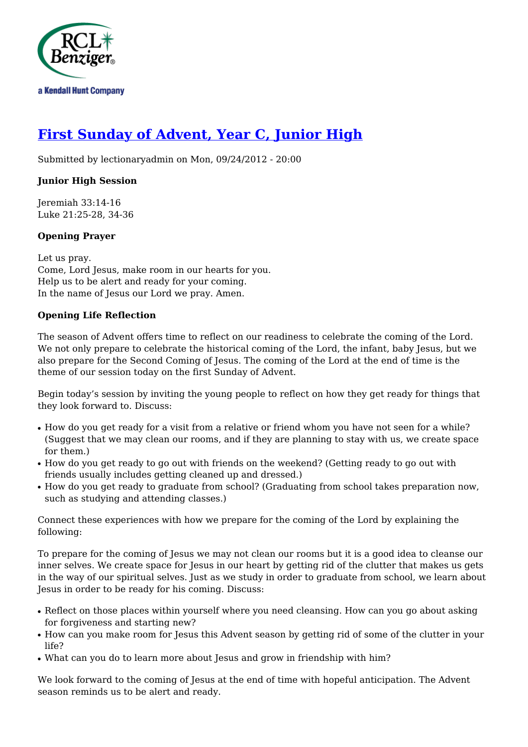

# **[First Sunday of Advent, Year C, Junior High](http://rclblectionary.com/first-sunday-advent-year-c-junior-high)**

Submitted by lectionaryadmin on Mon, 09/24/2012 - 20:00

## **Junior High Session**

Jeremiah 33:14-16 Luke 21:25-28, 34-36

## **Opening Prayer**

Let us pray. Come, Lord Jesus, make room in our hearts for you. Help us to be alert and ready for your coming. In the name of Jesus our Lord we pray. Amen.

#### **Opening Life Reflection**

The season of Advent offers time to reflect on our readiness to celebrate the coming of the Lord. We not only prepare to celebrate the historical coming of the Lord, the infant, baby Jesus, but we also prepare for the Second Coming of Jesus. The coming of the Lord at the end of time is the theme of our session today on the first Sunday of Advent.

Begin today's session by inviting the young people to reflect on how they get ready for things that they look forward to. Discuss:

- How do you get ready for a visit from a relative or friend whom you have not seen for a while? (Suggest that we may clean our rooms, and if they are planning to stay with us, we create space for them.)
- How do you get ready to go out with friends on the weekend? (Getting ready to go out with friends usually includes getting cleaned up and dressed.)
- How do you get ready to graduate from school? (Graduating from school takes preparation now, such as studying and attending classes.)

Connect these experiences with how we prepare for the coming of the Lord by explaining the following:

To prepare for the coming of Jesus we may not clean our rooms but it is a good idea to cleanse our inner selves. We create space for Jesus in our heart by getting rid of the clutter that makes us gets in the way of our spiritual selves. Just as we study in order to graduate from school, we learn about Jesus in order to be ready for his coming. Discuss:

- Reflect on those places within yourself where you need cleansing. How can you go about asking for forgiveness and starting new?
- How can you make room for Jesus this Advent season by getting rid of some of the clutter in your life?
- What can you do to learn more about Jesus and grow in friendship with him?

We look forward to the coming of Jesus at the end of time with hopeful anticipation. The Advent season reminds us to be alert and ready.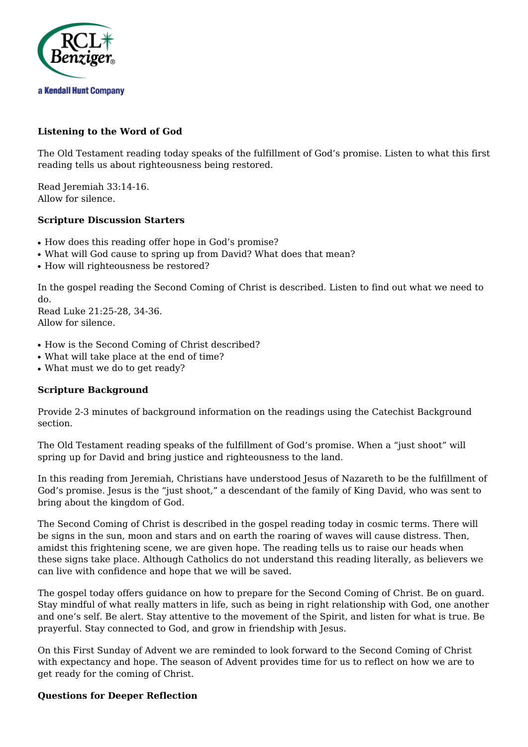

## **Listening to the Word of God**

The Old Testament reading today speaks of the fulfillment of God's promise. Listen to what this first reading tells us about righteousness being restored.

Read Jeremiah 33:14-16. Allow for silence.

#### **Scripture Discussion Starters**

- How does this reading offer hope in God's promise?
- What will God cause to spring up from David? What does that mean?
- How will righteousness be restored?

In the gospel reading the Second Coming of Christ is described. Listen to find out what we need to do.

Read Luke 21:25-28, 34-36. Allow for silence.

- How is the Second Coming of Christ described?
- What will take place at the end of time?
- What must we do to get ready?

#### **Scripture Background**

Provide 2-3 minutes of background information on the readings using the Catechist Background section.

The Old Testament reading speaks of the fulfillment of God's promise. When a "just shoot" will spring up for David and bring justice and righteousness to the land.

In this reading from Jeremiah, Christians have understood Jesus of Nazareth to be the fulfillment of God's promise. Jesus is the "just shoot," a descendant of the family of King David, who was sent to bring about the kingdom of God.

The Second Coming of Christ is described in the gospel reading today in cosmic terms. There will be signs in the sun, moon and stars and on earth the roaring of waves will cause distress. Then, amidst this frightening scene, we are given hope. The reading tells us to raise our heads when these signs take place. Although Catholics do not understand this reading literally, as believers we can live with confidence and hope that we will be saved.

The gospel today offers guidance on how to prepare for the Second Coming of Christ. Be on guard. Stay mindful of what really matters in life, such as being in right relationship with God, one another and one's self. Be alert. Stay attentive to the movement of the Spirit, and listen for what is true. Be prayerful. Stay connected to God, and grow in friendship with Jesus.

On this First Sunday of Advent we are reminded to look forward to the Second Coming of Christ with expectancy and hope. The season of Advent provides time for us to reflect on how we are to get ready for the coming of Christ.

#### **Questions for Deeper Reflection**